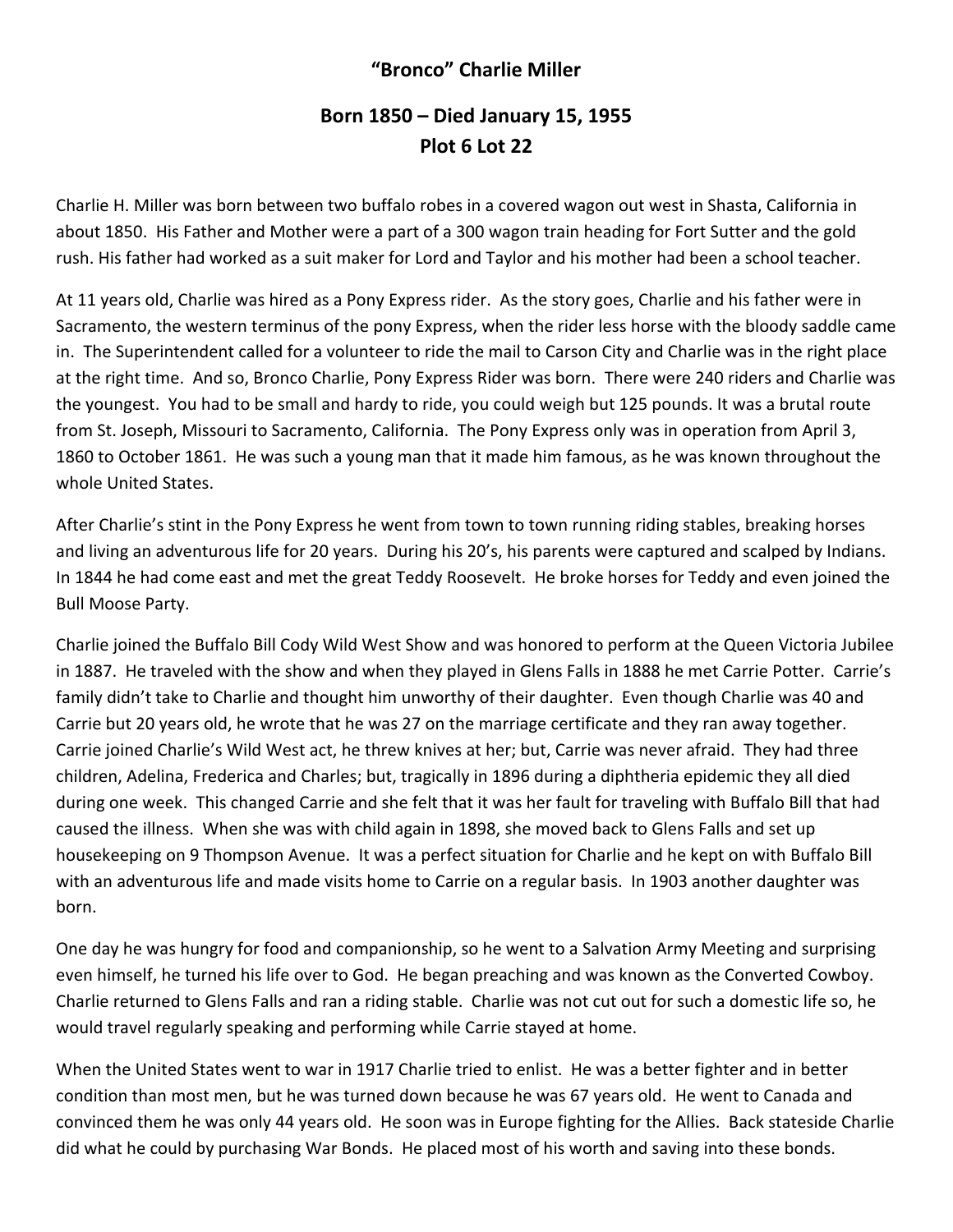## **"Bronco" Charlie Miller**

## **Born 1850 – Died January 15, 1955 Plot 6 Lot 22**

Charlie H. Miller was born between two buffalo robes in a covered wagon out west in Shasta, California in about 1850. His Father and Mother were a part of a 300 wagon train heading for Fort Sutter and the gold rush. His father had worked as a suit maker for Lord and Taylor and his mother had been a school teacher.

At 11 years old, Charlie was hired as a Pony Express rider. As the story goes, Charlie and his father were in Sacramento, the western terminus of the pony Express, when the rider less horse with the bloody saddle came in. The Superintendent called for a volunteer to ride the mail to Carson City and Charlie was in the right place at the right time. And so, Bronco Charlie, Pony Express Rider was born. There were 240 riders and Charlie was the youngest. You had to be small and hardy to ride, you could weigh but 125 pounds. It was a brutal route from St. Joseph, Missouri to Sacramento, California. The Pony Express only was in operation from April 3, 1860 to October 1861. He was such a young man that it made him famous, as he was known throughout the whole United States.

After Charlie's stint in the Pony Express he went from town to town running riding stables, breaking horses and living an adventurous life for 20 years. During his 20's, his parents were captured and scalped by Indians. In 1844 he had come east and met the great Teddy Roosevelt. He broke horses for Teddy and even joined the Bull Moose Party.

Charlie joined the Buffalo Bill Cody Wild West Show and was honored to perform at the Queen Victoria Jubilee in 1887. He traveled with the show and when they played in Glens Falls in 1888 he met Carrie Potter. Carrie's family didn't take to Charlie and thought him unworthy of their daughter. Even though Charlie was 40 and Carrie but 20 years old, he wrote that he was 27 on the marriage certificate and they ran away together. Carrie joined Charlie's Wild West act, he threw knives at her; but, Carrie was never afraid. They had three children, Adelina, Frederica and Charles; but, tragically in 1896 during a diphtheria epidemic they all died during one week. This changed Carrie and she felt that it was her fault for traveling with Buffalo Bill that had caused the illness. When she was with child again in 1898, she moved back to Glens Falls and set up housekeeping on 9 Thompson Avenue. It was a perfect situation for Charlie and he kept on with Buffalo Bill with an adventurous life and made visits home to Carrie on a regular basis. In 1903 another daughter was born.

One day he was hungry for food and companionship, so he went to a Salvation Army Meeting and surprising even himself, he turned his life over to God. He began preaching and was known as the Converted Cowboy. Charlie returned to Glens Falls and ran a riding stable. Charlie was not cut out for such a domestic life so, he would travel regularly speaking and performing while Carrie stayed at home.

When the United States went to war in 1917 Charlie tried to enlist. He was a better fighter and in better condition than most men, but he was turned down because he was 67 years old. He went to Canada and convinced them he was only 44 years old. He soon was in Europe fighting for the Allies. Back stateside Charlie did what he could by purchasing War Bonds. He placed most of his worth and saving into these bonds.